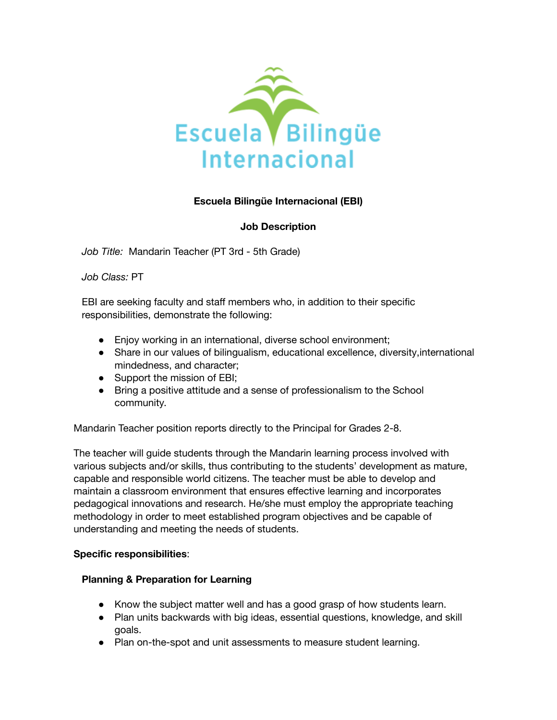

## **Escuela Bilingüe Internacional (EBI)**

### **Job Description**

*Job Title:* Mandarin Teacher (PT 3rd - 5th Grade)

*Job Class:* PT

EBI are seeking faculty and staff members who, in addition to their specific responsibilities, demonstrate the following:

- Enjoy working in an international, diverse school environment;
- Share in our values of bilingualism, educational excellence, diversity,international mindedness, and character;
- Support the mission of EBI;
- Bring a positive attitude and a sense of professionalism to the School community.

Mandarin Teacher position reports directly to the Principal for Grades 2-8.

The teacher will guide students through the Mandarin learning process involved with various subjects and/or skills, thus contributing to the students' development as mature, capable and responsible world citizens. The teacher must be able to develop and maintain a classroom environment that ensures effective learning and incorporates pedagogical innovations and research. He/she must employ the appropriate teaching methodology in order to meet established program objectives and be capable of understanding and meeting the needs of students.

#### **Specific responsibilities**:

#### **Planning & Preparation for Learning**

- Know the subject matter well and has a good grasp of how students learn.
- Plan units backwards with big ideas, essential questions, knowledge, and skill goals.
- Plan on-the-spot and unit assessments to measure student learning.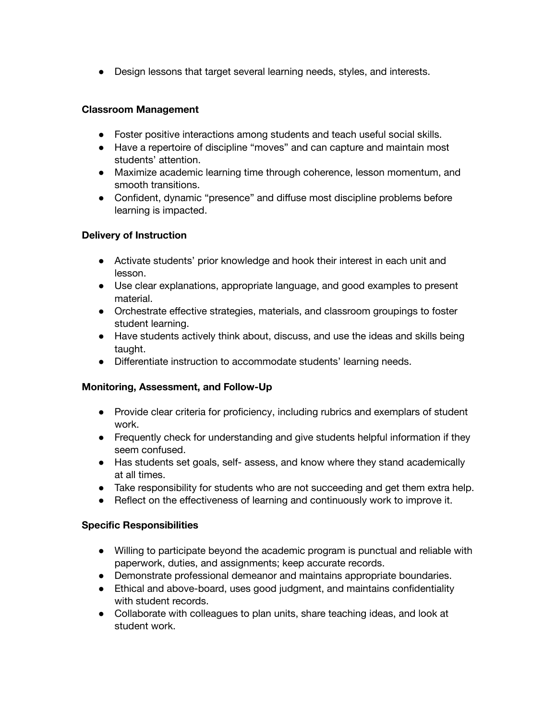● Design lessons that target several learning needs, styles, and interests.

#### **Classroom Management**

- Foster positive interactions among students and teach useful social skills.
- Have a repertoire of discipline "moves" and can capture and maintain most students' attention.
- Maximize academic learning time through coherence, lesson momentum, and smooth transitions.
- Confident, dynamic "presence" and diffuse most discipline problems before learning is impacted.

## **Delivery of Instruction**

- Activate students' prior knowledge and hook their interest in each unit and lesson.
- Use clear explanations, appropriate language, and good examples to present material.
- Orchestrate effective strategies, materials, and classroom groupings to foster student learning.
- Have students actively think about, discuss, and use the ideas and skills being taught.
- Differentiate instruction to accommodate students' learning needs.

## **Monitoring, Assessment, and Follow-Up**

- Provide clear criteria for proficiency, including rubrics and exemplars of student work.
- Frequently check for understanding and give students helpful information if they seem confused.
- Has students set goals, self- assess, and know where they stand academically at all times.
- Take responsibility for students who are not succeeding and get them extra help.
- Reflect on the effectiveness of learning and continuously work to improve it.

#### **Specific Responsibilities**

- Willing to participate beyond the academic program is punctual and reliable with paperwork, duties, and assignments; keep accurate records.
- Demonstrate professional demeanor and maintains appropriate boundaries.
- Ethical and above-board, uses good judgment, and maintains confidentiality with student records.
- Collaborate with colleagues to plan units, share teaching ideas, and look at student work.